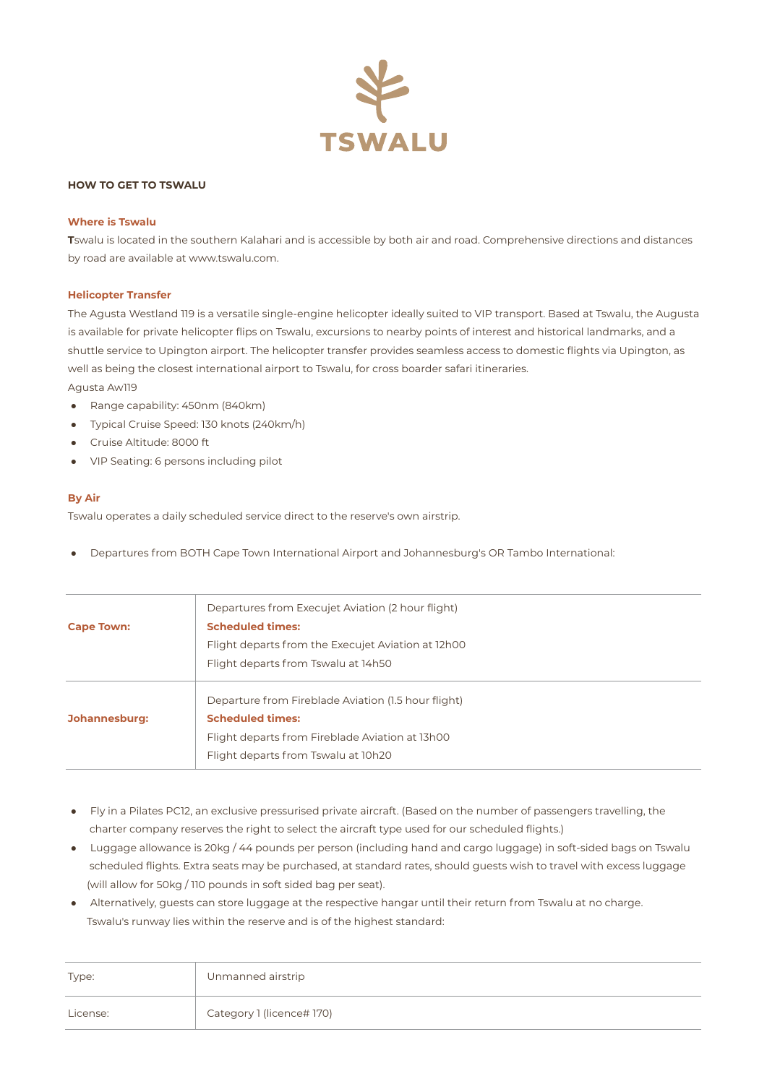

## **HOW TO GET TO TSWALU**

## **Where is Tswalu**

**T**swalu is located in the southern Kalahari and is accessible by both air and road. Comprehensive directions and distances by road are available at www.tswalu.com.

### **Helicopter Transfer**

The Agusta Westland 119 is a versatile single-engine helicopter ideally suited to VIP transport. Based at Tswalu, the Augusta is available for private helicopter flips on Tswalu, excursions to nearby points of interest and historical landmarks, and a shuttle service to Upington airport. The helicopter transfer provides seamless access to domestic flights via Upington, as well as being the closest international airport to Tswalu, for cross boarder safari itineraries. Agusta Aw119

- Range capability: 450nm (840km)
- Typical Cruise Speed: 130 knots (240km/h)
- Cruise Altitude: 8000 ft
- VIP Seating: 6 persons including pilot

### **By Air**

Tswalu operates a daily scheduled service direct to the reserve's own airstrip.

Departures from BOTH Cape Town International Airport and Johannesburg's OR Tambo International:

| <b>Cape Town:</b> | Departures from Execujet Aviation (2 hour flight)<br><b>Scheduled times:</b><br>Flight departs from the Execujet Aviation at 12h00<br>Flight departs from Tswalu at 14h50 |  |
|-------------------|---------------------------------------------------------------------------------------------------------------------------------------------------------------------------|--|
| Johannesburg:     | Departure from Fireblade Aviation (1.5 hour flight)<br><b>Scheduled times:</b><br>Flight departs from Fireblade Aviation at 13h00<br>Flight departs from Tswalu at 10h20  |  |

- Fly in a Pilates PC12, an exclusive pressurised private aircraft. (Based on the number of passengers travelling, the charter company reserves the right to select the aircraft type used for our scheduled flights.)
- Luggage allowance is 20kg / 44 pounds per person (including hand and cargo luggage) in soft-sided bags on Tswalu scheduled flights. Extra seats may be purchased, at standard rates, should guests wish to travel with excess luggage (will allow for 50kg / 110 pounds in soft sided bag per seat).
- Alternatively, guests can store luggage at the respective hangar until their return from Tswalu at no charge. Tswalu's runway lies within the reserve and is of the highest standard:

| Type:    | Unmanned airstrip         |
|----------|---------------------------|
| License: | Category 1 (licence# 170) |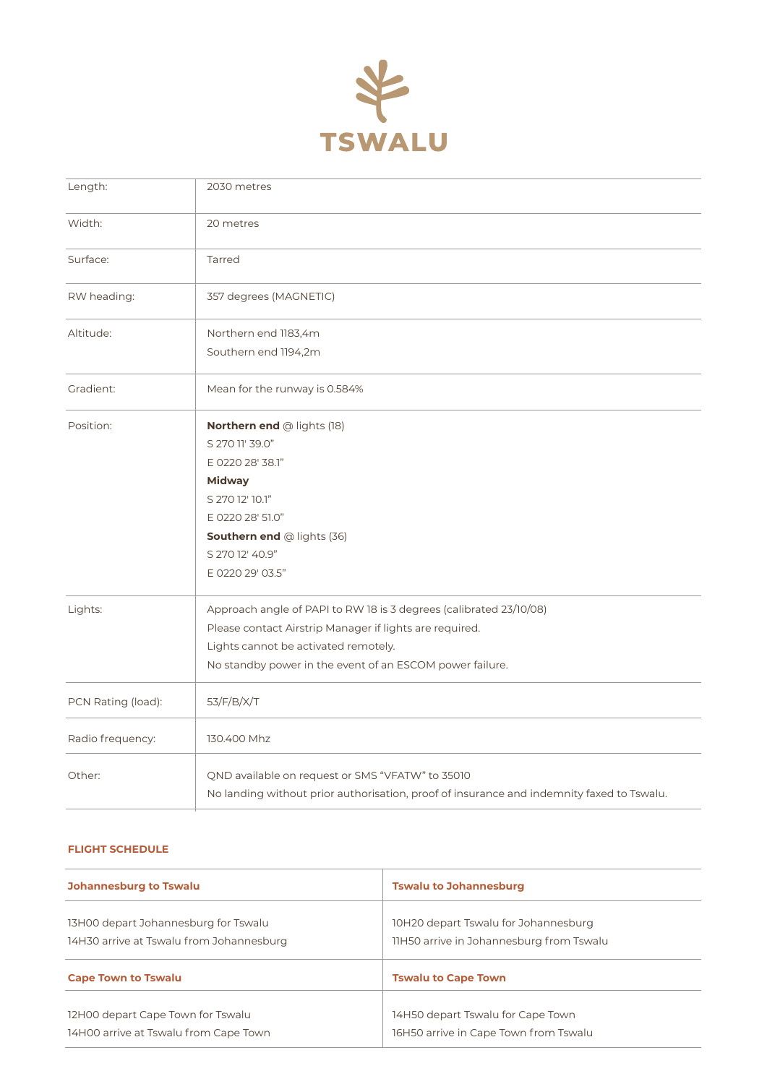

| Length:            | 2030 metres                                                                               |
|--------------------|-------------------------------------------------------------------------------------------|
| Width:             | 20 metres                                                                                 |
| Surface:           | Tarred                                                                                    |
| RW heading:        | 357 degrees (MAGNETIC)                                                                    |
| Altitude:          | Northern end 1183,4m                                                                      |
|                    | Southern end 1194,2m                                                                      |
| Gradient:          | Mean for the runway is 0.584%                                                             |
| Position:          | Northern end @ lights (18)                                                                |
|                    | S 270 11' 39.0"                                                                           |
|                    | E 0220 28' 38.1"                                                                          |
|                    | <b>Midway</b>                                                                             |
|                    | S 270 12' 10.1"                                                                           |
|                    | E 0220 28' 51.0"                                                                          |
|                    | <b>Southern end @ lights (36)</b>                                                         |
|                    | S 270 12' 40.9"                                                                           |
|                    | E 0220 29' 03.5"                                                                          |
| Lights:            | Approach angle of PAPI to RW 18 is 3 degrees (calibrated 23/10/08)                        |
|                    | Please contact Airstrip Manager if lights are required.                                   |
|                    | Lights cannot be activated remotely.                                                      |
|                    | No standby power in the event of an ESCOM power failure.                                  |
| PCN Rating (load): | 53/F/B/X/T                                                                                |
| Radio frequency:   | 130.400 Mhz                                                                               |
| Other:             | QND available on request or SMS "VFATW" to 35010                                          |
|                    | No landing without prior authorisation, proof of insurance and indemnity faxed to Tswalu. |

# **FLIGHT SCHEDULE**

| <b>Johannesburg to Tswalu</b>            | <b>Tswalu to Johannesburg</b>            |
|------------------------------------------|------------------------------------------|
| 13H00 depart Johannesburg for Tswalu     | 10H20 depart Tswalu for Johannesburg     |
| 14H30 arrive at Tswalu from Johannesburg | 11H50 arrive in Johannesburg from Tswalu |
| <b>Cape Town to Tswalu</b>               | <b>Tswalu to Cape Town</b>               |
| 12H00 depart Cape Town for Tswalu        | 14H50 depart Tswalu for Cape Town        |
| 14H00 arrive at Tswalu from Cape Town    | 16H50 arrive in Cape Town from Tswalu    |